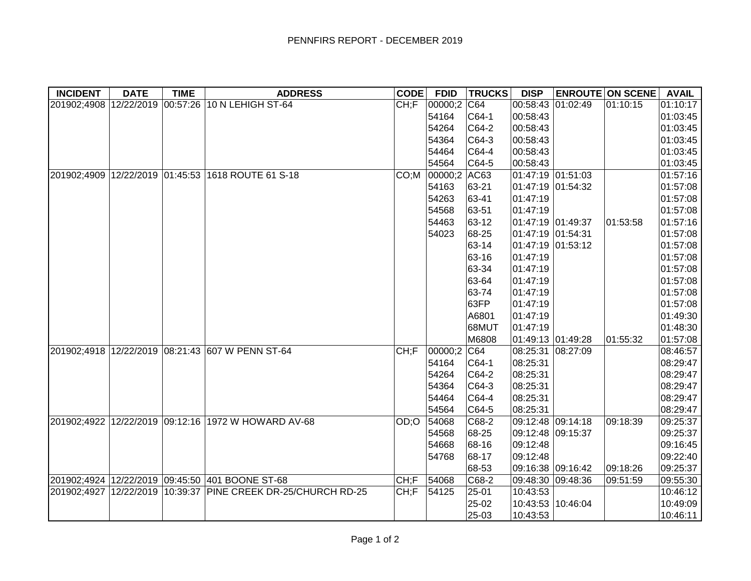| <b>INCIDENT</b> | <b>DATE</b> | <b>TIME</b> | <b>ADDRESS</b>                                                | <b>CODE</b> | <b>FDID</b> | <b>TRUCKS</b> | <b>DISP</b>       | <b>ENROUTE ON SCENE</b> | <b>AVAIL</b> |
|-----------------|-------------|-------------|---------------------------------------------------------------|-------------|-------------|---------------|-------------------|-------------------------|--------------|
|                 |             |             | 201902;4908 12/22/2019 00:57:26 10 N LEHIGH ST-64             | CH;F        | 00000;2 C64 |               | 00:58:43 01:02:49 | 01:10:15                | 01:10:17     |
|                 |             |             |                                                               |             | 54164       | $CG4-1$       | 00:58:43          |                         | 01:03:45     |
|                 |             |             |                                                               |             | 54264       | $C64-2$       | 00:58:43          |                         | 01:03:45     |
|                 |             |             |                                                               |             | 54364       | $CG4-3$       | 00:58:43          |                         | 01:03:45     |
|                 |             |             |                                                               |             | 54464       | $CG4-4$       | 00:58:43          |                         | 01:03:45     |
|                 |             |             |                                                               |             | 54564       | $CG4-5$       | 00:58:43          |                         | 01:03:45     |
|                 |             |             | 201902;4909 12/22/2019 01:45:53 1618 ROUTE 61 S-18            | CO: M       | 00000;2     | AC63          | 01:47:19 01:51:03 |                         | 01:57:16     |
|                 |             |             |                                                               |             | 54163       | 63-21         | 01:47:19 01:54:32 |                         | 01:57:08     |
|                 |             |             |                                                               |             | 54263       | 63-41         | 01:47:19          |                         | 01:57:08     |
|                 |             |             |                                                               |             | 54568       | 63-51         | 01:47:19          |                         | 01:57:08     |
|                 |             |             |                                                               |             | 54463       | 63-12         | 01:47:19 01:49:37 | 01:53:58                | 01:57:16     |
|                 |             |             |                                                               |             | 54023       | 68-25         | 01:47:19 01:54:31 |                         | 01:57:08     |
|                 |             |             |                                                               |             |             | 63-14         | 01:47:19 01:53:12 |                         | 01:57:08     |
|                 |             |             |                                                               |             |             | 63-16         | 01:47:19          |                         | 01:57:08     |
|                 |             |             |                                                               |             |             | 63-34         | 01:47:19          |                         | 01:57:08     |
|                 |             |             |                                                               |             |             | 63-64         | 01:47:19          |                         | 01:57:08     |
|                 |             |             |                                                               |             |             | 63-74         | 01:47:19          |                         | 01:57:08     |
|                 |             |             |                                                               |             |             | 63FP          | 01:47:19          |                         | 01:57:08     |
|                 |             |             |                                                               |             |             | A6801         | 01:47:19          |                         | 01:49:30     |
|                 |             |             |                                                               |             |             | 68MUT         | 01:47:19          |                         | 01:48:30     |
|                 |             |             |                                                               |             |             | M6808         | 01:49:13 01:49:28 | 01:55:32                | 01:57:08     |
|                 |             |             | 201902;4918 12/22/2019 08:21:43 607 W PENN ST-64              | CH;F        | 00000;2     | CG4           | 08:25:31 08:27:09 |                         | 08:46:57     |
|                 |             |             |                                                               |             | 54164       | $CG4-1$       | 08:25:31          |                         | 08:29:47     |
|                 |             |             |                                                               |             | 54264       | $CG4-2$       | 08:25:31          |                         | 08:29:47     |
|                 |             |             |                                                               |             | 54364       | $CG4-3$       | 08:25:31          |                         | 08:29:47     |
|                 |             |             |                                                               |             | 54464       | $CG4-4$       | 08:25:31          |                         | 08:29:47     |
|                 |             |             |                                                               |             | 54564       | $CG4-5$       | 08:25:31          |                         | 08:29:47     |
|                 |             |             | 201902;4922 12/22/2019 09:12:16 1972 W HOWARD AV-68           | OD:O        | 54068       | $C68-2$       | 09:12:48 09:14:18 | 09:18:39                | 09:25:37     |
|                 |             |             |                                                               |             | 54568       | 68-25         | 09:12:48 09:15:37 |                         | 09:25:37     |
|                 |             |             |                                                               |             | 54668       | 68-16         | 09:12:48          |                         | 09:16:45     |
|                 |             |             |                                                               |             | 54768       | 68-17         | 09:12:48          |                         | 09:22:40     |
|                 |             |             |                                                               |             |             | 68-53         | 09:16:38 09:16:42 | 09:18:26                | 09:25:37     |
|                 |             |             | 201902;4924 12/22/2019 09:45:50 401 BOONE ST-68               | CH;F        | 54068       | $C68-2$       | 09:48:30 09:48:36 | 09:51:59                | 09:55:30     |
|                 |             |             | 201902;4927 12/22/2019 10:39:37 PINE CREEK DR-25/CHURCH RD-25 | CH;F        | 54125       | 25-01         | 10:43:53          |                         | 10:46:12     |
|                 |             |             |                                                               |             |             | 25-02         | 10:43:53 10:46:04 |                         | 10:49:09     |
|                 |             |             |                                                               |             |             | 25-03         | 10:43:53          |                         | 10:46:11     |